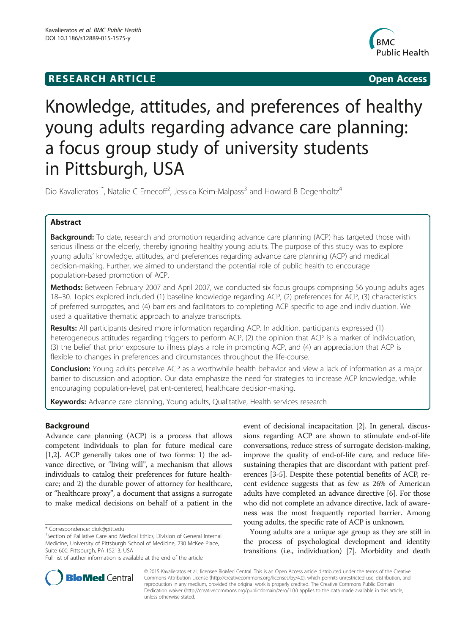# **RESEARCH ARTICLE Example 2018 12:00 Department of the CONNECTION CONNECTION CONNECTION CONNECTION**



# Knowledge, attitudes, and preferences of healthy young adults regarding advance care planning: a focus group study of university students in Pittsburgh, USA

Dio Kavalieratos<sup>1\*</sup>, Natalie C Ernecoff<sup>2</sup>, Jessica Keim-Malpass<sup>3</sup> and Howard B Degenholtz<sup>4</sup>

# Abstract

**Background:** To date, research and promotion regarding advance care planning (ACP) has targeted those with serious illness or the elderly, thereby ignoring healthy young adults. The purpose of this study was to explore young adults' knowledge, attitudes, and preferences regarding advance care planning (ACP) and medical decision-making. Further, we aimed to understand the potential role of public health to encourage population-based promotion of ACP.

Methods: Between February 2007 and April 2007, we conducted six focus groups comprising 56 young adults ages 18–30. Topics explored included (1) baseline knowledge regarding ACP, (2) preferences for ACP, (3) characteristics of preferred surrogates, and (4) barriers and facilitators to completing ACP specific to age and individuation. We used a qualitative thematic approach to analyze transcripts.

Results: All participants desired more information regarding ACP. In addition, participants expressed (1) heterogeneous attitudes regarding triggers to perform ACP, (2) the opinion that ACP is a marker of individuation, (3) the belief that prior exposure to illness plays a role in prompting ACP, and (4) an appreciation that ACP is flexible to changes in preferences and circumstances throughout the life-course.

Conclusion: Young adults perceive ACP as a worthwhile health behavior and view a lack of information as a major barrier to discussion and adoption. Our data emphasize the need for strategies to increase ACP knowledge, while encouraging population-level, patient-centered, healthcare decision-making.

Keywords: Advance care planning, Young adults, Qualitative, Health services research

# Background

Advance care planning (ACP) is a process that allows competent individuals to plan for future medical care [[1,2](#page-6-0)]. ACP generally takes one of two forms: 1) the advance directive, or "living will", a mechanism that allows individuals to catalog their preferences for future healthcare; and 2) the durable power of attorney for healthcare, or "healthcare proxy", a document that assigns a surrogate to make medical decisions on behalf of a patient in the event of decisional incapacitation [[2\]](#page-6-0). In general, discussions regarding ACP are shown to stimulate end-of-life conversations, reduce stress of surrogate decision-making, improve the quality of end-of-life care, and reduce lifesustaining therapies that are discordant with patient preferences [\[3-5](#page-6-0)]. Despite these potential benefits of ACP, recent evidence suggests that as few as 26% of American adults have completed an advance directive [\[6](#page-6-0)]. For those who did not complete an advance directive, lack of awareness was the most frequently reported barrier. Among young adults, the specific rate of ACP is unknown.

Young adults are a unique age group as they are still in the process of psychological development and identity transitions (i.e., individuation) [\[7](#page-6-0)]. Morbidity and death



© 2015 Kavalieratos et al.; licensee BioMed Central. This is an Open Access article distributed under the terms of the Creative Commons Attribution License [\(http://creativecommons.org/licenses/by/4.0\)](http://creativecommons.org/licenses/by/4.0), which permits unrestricted use, distribution, and reproduction in any medium, provided the original work is properly credited. The Creative Commons Public Domain Dedication waiver [\(http://creativecommons.org/publicdomain/zero/1.0/](http://creativecommons.org/publicdomain/zero/1.0/)) applies to the data made available in this article, unless otherwise stated.

<sup>\*</sup> Correspondence: [diok@pitt.edu](mailto:diok@pitt.edu) <sup>1</sup>

<sup>&</sup>lt;sup>1</sup>Section of Palliative Care and Medical Ethics, Division of General Internal Medicine, University of Pittsburgh School of Medicine, 230 McKee Place, Suite 600, Pittsburgh, PA 15213, USA

Full list of author information is available at the end of the article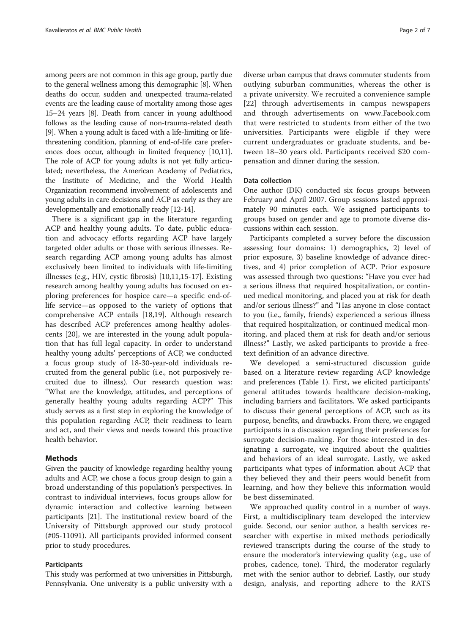among peers are not common in this age group, partly due to the general wellness among this demographic [\[8](#page-6-0)]. When deaths do occur, sudden and unexpected trauma-related events are the leading cause of mortality among those ages 15–24 years [\[8](#page-6-0)]. Death from cancer in young adulthood follows as the leading cause of non-trauma-related death [[9](#page-6-0)]. When a young adult is faced with a life-limiting or lifethreatening condition, planning of end-of-life care preferences does occur, although in limited frequency [\[10,11](#page-6-0)]. The role of ACP for young adults is not yet fully articulated; nevertheless, the American Academy of Pediatrics, the Institute of Medicine, and the World Health Organization recommend involvement of adolescents and young adults in care decisions and ACP as early as they are developmentally and emotionally ready [[12](#page-6-0)-[14](#page-6-0)].

There is a significant gap in the literature regarding ACP and healthy young adults. To date, public education and advocacy efforts regarding ACP have largely targeted older adults or those with serious illnesses. Research regarding ACP among young adults has almost exclusively been limited to individuals with life-limiting illnesses (e.g., HIV, cystic fibrosis) [\[10,11,15-17](#page-6-0)]. Existing research among healthy young adults has focused on exploring preferences for hospice care—a specific end-oflife service—as opposed to the variety of options that comprehensive ACP entails [\[18,19\]](#page-6-0). Although research has described ACP preferences among healthy adolescents [[20\]](#page-6-0), we are interested in the young adult population that has full legal capacity. In order to understand healthy young adults' perceptions of ACP, we conducted a focus group study of 18-30-year-old individuals recruited from the general public (i.e., not purposively recruited due to illness). Our research question was: "What are the knowledge, attitudes, and perceptions of generally healthy young adults regarding ACP?" This study serves as a first step in exploring the knowledge of this population regarding ACP, their readiness to learn and act, and their views and needs toward this proactive health behavior.

#### Methods

Given the paucity of knowledge regarding healthy young adults and ACP, we chose a focus group design to gain a broad understanding of this population's perspectives. In contrast to individual interviews, focus groups allow for dynamic interaction and collective learning between participants [\[21](#page-6-0)]. The institutional review board of the University of Pittsburgh approved our study protocol (#05-11091). All participants provided informed consent prior to study procedures.

#### Participants

This study was performed at two universities in Pittsburgh, Pennsylvania. One university is a public university with a

diverse urban campus that draws commuter students from outlying suburban communities, whereas the other is a private university. We recruited a convenience sample [[22](#page-6-0)] through advertisements in campus newspapers and through advertisements on [www.Facebook.com](http://www.facebook.com) that were restricted to students from either of the two universities. Participants were eligible if they were current undergraduates or graduate students, and between 18–30 years old. Participants received \$20 compensation and dinner during the session.

# Data collection

One author (DK) conducted six focus groups between February and April 2007. Group sessions lasted approximately 90 minutes each. We assigned participants to groups based on gender and age to promote diverse discussions within each session.

Participants completed a survey before the discussion assessing four domains: 1) demographics, 2) level of prior exposure, 3) baseline knowledge of advance directives, and 4) prior completion of ACP. Prior exposure was assessed through two questions: "Have you ever had a serious illness that required hospitalization, or continued medical monitoring, and placed you at risk for death and/or serious illness?" and "Has anyone in close contact to you (i.e., family, friends) experienced a serious illness that required hospitalization, or continued medical monitoring, and placed them at risk for death and/or serious illness?" Lastly, we asked participants to provide a freetext definition of an advance directive.

We developed a semi-structured discussion guide based on a literature review regarding ACP knowledge and preferences (Table [1\)](#page-2-0). First, we elicited participants' general attitudes towards healthcare decision-making, including barriers and facilitators. We asked participants to discuss their general perceptions of ACP, such as its purpose, benefits, and drawbacks. From there, we engaged participants in a discussion regarding their preferences for surrogate decision-making. For those interested in designating a surrogate, we inquired about the qualities and behaviors of an ideal surrogate. Lastly, we asked participants what types of information about ACP that they believed they and their peers would benefit from learning, and how they believe this information would be best disseminated.

We approached quality control in a number of ways. First, a multidisciplinary team developed the interview guide. Second, our senior author, a health services researcher with expertise in mixed methods periodically reviewed transcripts during the course of the study to ensure the moderator's interviewing quality (e.g., use of probes, cadence, tone). Third, the moderator regularly met with the senior author to debrief. Lastly, our study design, analysis, and reporting adhere to the RATS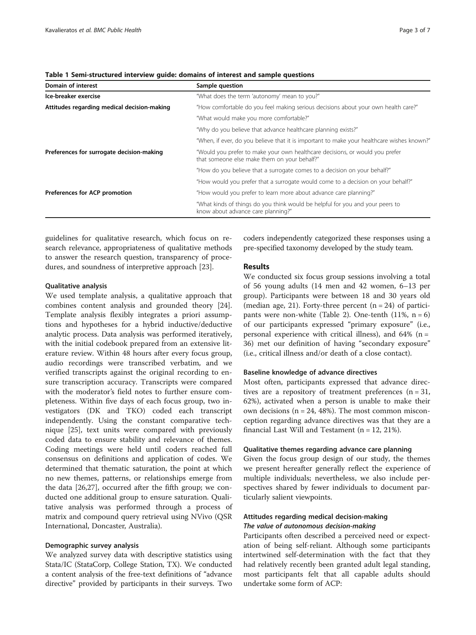<span id="page-2-0"></span>Table 1 Semi-structured interview guide: domains of interest and sample questions

| <b>Domain of interest</b>                   | Sample question                                                                                                              |  |  |
|---------------------------------------------|------------------------------------------------------------------------------------------------------------------------------|--|--|
| Ice-breaker exercise                        | "What does the term 'autonomy' mean to you?"                                                                                 |  |  |
| Attitudes regarding medical decision-making | "How comfortable do you feel making serious decisions about your own health care?"                                           |  |  |
|                                             | "What would make you more comfortable?"                                                                                      |  |  |
|                                             | "Why do you believe that advance healthcare planning exists?"                                                                |  |  |
|                                             | "When, if ever, do you believe that it is important to make your healthcare wishes known?"                                   |  |  |
| Preferences for surrogate decision-making   | "Would you prefer to make your own healthcare decisions, or would you prefer<br>that someone else make them on your behalf?" |  |  |
|                                             | "How do you believe that a surrogate comes to a decision on your behalf?"                                                    |  |  |
|                                             | "How would you prefer that a surrogate would come to a decision on your behalf?"                                             |  |  |
| Preferences for ACP promotion               | "How would you prefer to learn more about advance care planning?"                                                            |  |  |
|                                             | "What kinds of things do you think would be helpful for you and your peers to<br>know about advance care planning?"          |  |  |

guidelines for qualitative research, which focus on research relevance, appropriateness of qualitative methods to answer the research question, transparency of procedures, and soundness of interpretive approach [\[23](#page-6-0)].

#### Qualitative analysis

We used template analysis, a qualitative approach that combines content analysis and grounded theory [\[24](#page-6-0)]. Template analysis flexibly integrates a priori assumptions and hypotheses for a hybrid inductive/deductive analytic process. Data analysis was performed iteratively, with the initial codebook prepared from an extensive literature review. Within 48 hours after every focus group, audio recordings were transcribed verbatim, and we verified transcripts against the original recording to ensure transcription accuracy. Transcripts were compared with the moderator's field notes to further ensure completeness. Within five days of each focus group, two investigators (DK and TKO) coded each transcript independently. Using the constant comparative technique [\[25\]](#page-6-0), text units were compared with previously coded data to ensure stability and relevance of themes. Coding meetings were held until coders reached full consensus on definitions and application of codes. We determined that thematic saturation, the point at which no new themes, patterns, or relationships emerge from the data [\[26,27](#page-6-0)], occurred after the fifth group; we conducted one additional group to ensure saturation. Qualitative analysis was performed through a process of matrix and compound query retrieval using NVivo (QSR International, Doncaster, Australia).

#### Demographic survey analysis

We analyzed survey data with descriptive statistics using Stata/IC (StataCorp, College Station, TX). We conducted a content analysis of the free-text definitions of "advance directive" provided by participants in their surveys. Two coders independently categorized these responses using a pre-specified taxonomy developed by the study team.

#### Results

We conducted six focus group sessions involving a total of 56 young adults (14 men and 42 women, 6–13 per group). Participants were between 18 and 30 years old (median age, 21). Forty-three percent  $(n = 24)$  of partici-pants were non-white (Table [2\)](#page-3-0). One-tenth  $(11\%, n=6)$ of our participants expressed "primary exposure" (i.e., personal experience with critical illness), and  $64\%$  (n = 36) met our definition of having "secondary exposure" (i.e., critical illness and/or death of a close contact).

#### Baseline knowledge of advance directives

Most often, participants expressed that advance directives are a repository of treatment preferences  $(n = 31,$ 62%), activated when a person is unable to make their own decisions ( $n = 24$ , 48%). The most common misconception regarding advance directives was that they are a financial Last Will and Testament ( $n = 12, 21\%$ ).

#### Qualitative themes regarding advance care planning

Given the focus group design of our study, the themes we present hereafter generally reflect the experience of multiple individuals; nevertheless, we also include perspectives shared by fewer individuals to document particularly salient viewpoints.

# Attitudes regarding medical decision-making The value of autonomous decision-making

Participants often described a perceived need or expectation of being self-reliant. Although some participants intertwined self-determination with the fact that they had relatively recently been granted adult legal standing, most participants felt that all capable adults should undertake some form of ACP: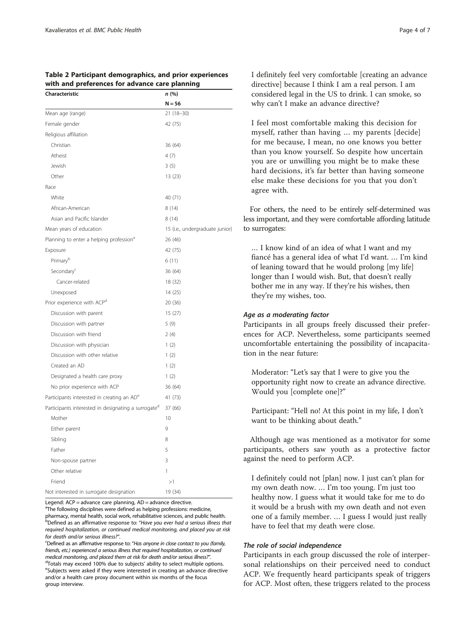<span id="page-3-0"></span>

|  | Table 2 Participant demographics, and prior experiences |  |  |
|--|---------------------------------------------------------|--|--|
|  | with and preferences for advance care planning          |  |  |

| Characteristic                                                  | n(%)                            |  |  |
|-----------------------------------------------------------------|---------------------------------|--|--|
|                                                                 | $N = 56$                        |  |  |
| Mean age (range)                                                | $21(18-30)$                     |  |  |
| Female gender                                                   | 42 (75)                         |  |  |
| Religious affiliation                                           |                                 |  |  |
| Christian                                                       | 36 (64)                         |  |  |
| Atheist                                                         | 4(7)                            |  |  |
| Jewish                                                          | 3(5)                            |  |  |
| Other                                                           | 13 (23)                         |  |  |
| Race                                                            |                                 |  |  |
| White                                                           | 40 (71)                         |  |  |
| African-American                                                | 8(14)                           |  |  |
| Asian and Pacific Islander                                      | 8(14)                           |  |  |
| Mean years of education                                         | 15 (i.e., undergraduate junior) |  |  |
| Planning to enter a helping profession <sup>a</sup>             | 26 (46)                         |  |  |
| Exposure                                                        | 42 (75)                         |  |  |
| Primary <sup>b</sup>                                            | 6(11)                           |  |  |
| Secondary <sup>c</sup>                                          | 36 (64)                         |  |  |
| Cancer-related                                                  | 18 (32)                         |  |  |
| Unexposed                                                       | 14 (25)                         |  |  |
| Prior experience with ACP <sup>d</sup>                          | 20 (36)                         |  |  |
| Discussion with parent                                          | 15 (27)                         |  |  |
| Discussion with partner                                         | 5(9)                            |  |  |
| Discussion with friend                                          | 2(4)                            |  |  |
| Discussion with physician                                       | 1(2)                            |  |  |
| Discussion with other relative                                  | 1(2)                            |  |  |
| Created an AD                                                   | 1(2)                            |  |  |
| Designated a health care proxy                                  | 1(2)                            |  |  |
| No prior experience with ACP                                    | 36 (64)                         |  |  |
| Participants interested in creating an AD <sup>e</sup>          | 41 (73)                         |  |  |
| Participants interested in designating a surrogate <sup>d</sup> | 37 (66)                         |  |  |
| Mother                                                          | 10                              |  |  |
| Either parent                                                   | 9                               |  |  |
| Sibling                                                         | 8                               |  |  |
| Father                                                          | 5                               |  |  |
| Non-spouse partner                                              | 3                               |  |  |
| Other relative                                                  | 1                               |  |  |
| Friend                                                          | >1                              |  |  |
| Not interested in surrogate designation                         | 19 (34)                         |  |  |

Legend: ACP = advance care planning, AD = advance directive. <sup>a</sup>The following disciplines were defined as helping professions: medicine, pharmacy, mental health, social work, rehabilitative sciences, and public health. <sub>.</sub><br><sup>b</sup>Defined as an affirmative response to: "Have you ever had a serious illness that

required hospitalization, or continued medical monitoring, and placed you at risk for death and/or serious illness?".

Defined as an affirmative response to: "Has anyone in close contact to you (family, friends, etc.) experienced a serious illness that required hospitalization, or continued medical monitoring, and placed them at risk for death and/or serious illness?". <sup>d</sup>Totals may exceed 100% due to subjects' ability to select multiple options. <sup>e</sup>Subjects were asked if they were interested in creating an advance directive and/or a health care proxy document within six months of the focus group interview.

I definitely feel very comfortable [creating an advance directive] because I think I am a real person. I am considered legal in the US to drink. I can smoke, so why can't I make an advance directive?

I feel most comfortable making this decision for myself, rather than having … my parents [decide] for me because, I mean, no one knows you better than you know yourself. So despite how uncertain you are or unwilling you might be to make these hard decisions, it's far better than having someone else make these decisions for you that you don't agree with.

For others, the need to be entirely self-determined was less important, and they were comfortable affording latitude to surrogates:

… I know kind of an idea of what I want and my fiancé has a general idea of what I'd want. … I'm kind of leaning toward that he would prolong [my life] longer than I would wish. But, that doesn't really bother me in any way. If they're his wishes, then they're my wishes, too.

#### Age as a moderating factor

Participants in all groups freely discussed their preferences for ACP. Nevertheless, some participants seemed uncomfortable entertaining the possibility of incapacitation in the near future:

Moderator: "Let's say that I were to give you the opportunity right now to create an advance directive. Would you [complete one]?"

Participant: "Hell no! At this point in my life, I don't want to be thinking about death."

Although age was mentioned as a motivator for some participants, others saw youth as a protective factor against the need to perform ACP.

I definitely could not [plan] now. I just can't plan for my own death now. … I'm too young. I'm just too healthy now. I guess what it would take for me to do it would be a brush with my own death and not even one of a family member. … I guess I would just really have to feel that my death were close.

#### The role of social independence

Participants in each group discussed the role of interpersonal relationships on their perceived need to conduct ACP. We frequently heard participants speak of triggers for ACP. Most often, these triggers related to the process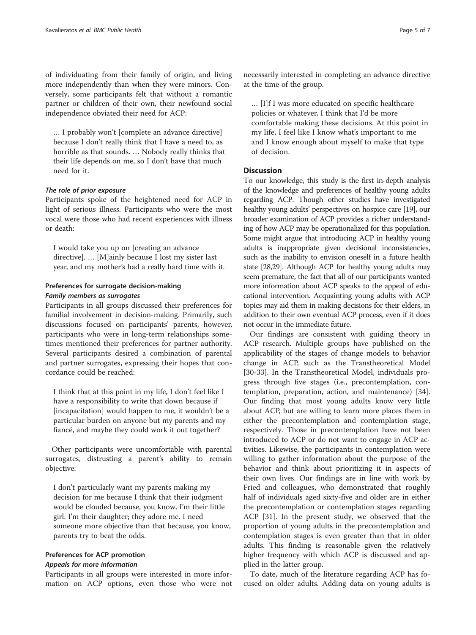of individuating from their family of origin, and living more independently than when they were minors. Conversely, some participants felt that without a romantic partner or children of their own, their newfound social independence obviated their need for ACP:

… I probably won't [complete an advance directive] because I don't really think that I have a need to, as horrible as that sounds. … Nobody really thinks that their life depends on me, so I don't have that much need for it.

#### The role of prior exposure

Participants spoke of the heightened need for ACP in light of serious illness. Participants who were the most vocal were those who had recent experiences with illness or death:

I would take you up on [creating an advance directive]. … [M]ainly because I lost my sister last year, and my mother's had a really hard time with it.

### Preferences for surrogate decision-making Family members as surrogates

Participants in all groups discussed their preferences for familial involvement in decision-making. Primarily, such discussions focused on participants' parents; however, participants who were in long-term relationships sometimes mentioned their preferences for partner authority. Several participants desired a combination of parental and partner surrogates, expressing their hopes that concordance could be reached:

I think that at this point in my life, I don't feel like I have a responsibility to write that down because if [incapacitation] would happen to me, it wouldn't be a particular burden on anyone but my parents and my fiancé, and maybe they could work it out together?

Other participants were uncomfortable with parental surrogates, distrusting a parent's ability to remain objective:

I don't particularly want my parents making my decision for me because I think that their judgment would be clouded because, you know, I'm their little girl. I'm their daughter; they adore me. I need someone more objective than that because, you know, parents try to beat the odds.

# Preferences for ACP promotion Appeals for more information

Participants in all groups were interested in more information on ACP options, even those who were not necessarily interested in completing an advance directive at the time of the group.

… [I]f I was more educated on specific healthcare policies or whatever, I think that I'd be more comfortable making these decisions. At this point in my life, I feel like I know what's important to me and I know enough about myself to make that type of decision.

#### **Discussion**

To our knowledge, this study is the first in-depth analysis of the knowledge and preferences of healthy young adults regarding ACP. Though other studies have investigated healthy young adults' perspectives on hospice care [[19](#page-6-0)], our broader examination of ACP provides a richer understanding of how ACP may be operationalized for this population. Some might argue that introducing ACP in healthy young adults is inappropriate given decisional inconsistencies, such as the inability to envision oneself in a future health state [\[28,29\]](#page-6-0). Although ACP for healthy young adults may seem premature, the fact that all of our participants wanted more information about ACP speaks to the appeal of educational intervention. Acquainting young adults with ACP topics may aid them in making decisions for their elders, in addition to their own eventual ACP process, even if it does not occur in the immediate future.

Our findings are consistent with guiding theory in ACP research. Multiple groups have published on the applicability of the stages of change models to behavior change in ACP, such as the Transtheoretical Model [[30-33](#page-6-0)]. In the Transtheoretical Model, individuals progress through five stages (i.e., precontemplation, contemplation, preparation, action, and maintenance) [\[34](#page-6-0)]. Our finding that most young adults know very little about ACP, but are willing to learn more places them in either the precontemplation and contemplation stage, respectively. Those in precontemplation have not been introduced to ACP or do not want to engage in ACP activities. Likewise, the participants in contemplation were willing to gather information about the purpose of the behavior and think about prioritizing it in aspects of their own lives. Our findings are in line with work by Fried and colleagues, who demonstrated that roughly half of individuals aged sixty-five and older are in either the precontemplation or contemplation stages regarding ACP [[31\]](#page-6-0). In the present study, we observed that the proportion of young adults in the precontemplation and contemplation stages is even greater than that in older adults. This finding is reasonable given the relatively higher frequency with which ACP is discussed and applied in the latter group.

To date, much of the literature regarding ACP has focused on older adults. Adding data on young adults is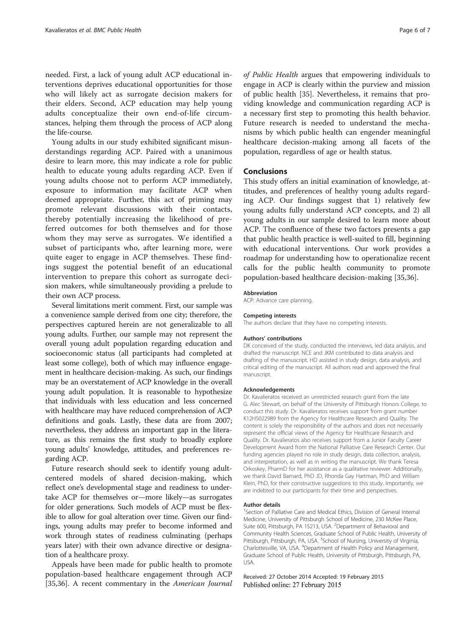needed. First, a lack of young adult ACP educational interventions deprives educational opportunities for those who will likely act as surrogate decision makers for their elders. Second, ACP education may help young adults conceptualize their own end-of-life circumstances, helping them through the process of ACP along the life-course.

Young adults in our study exhibited significant misunderstandings regarding ACP. Paired with a unanimous desire to learn more, this may indicate a role for public health to educate young adults regarding ACP. Even if young adults choose not to perform ACP immediately, exposure to information may facilitate ACP when deemed appropriate. Further, this act of priming may promote relevant discussions with their contacts, thereby potentially increasing the likelihood of preferred outcomes for both themselves and for those whom they may serve as surrogates. We identified a subset of participants who, after learning more, were quite eager to engage in ACP themselves. These findings suggest the potential benefit of an educational intervention to prepare this cohort as surrogate decision makers, while simultaneously providing a prelude to their own ACP process.

Several limitations merit comment. First, our sample was a convenience sample derived from one city; therefore, the perspectives captured herein are not generalizable to all young adults. Further, our sample may not represent the overall young adult population regarding education and socioeconomic status (all participants had completed at least some college), both of which may influence engagement in healthcare decision-making. As such, our findings may be an overstatement of ACP knowledge in the overall young adult population. It is reasonable to hypothesize that individuals with less education and less concerned with healthcare may have reduced comprehension of ACP definitions and goals. Lastly, these data are from 2007; nevertheless, they address an important gap in the literature, as this remains the first study to broadly explore young adults' knowledge, attitudes, and preferences regarding ACP.

Future research should seek to identify young adultcentered models of shared decision-making, which reflect one's developmental stage and readiness to undertake ACP for themselves or—more likely—as surrogates for older generations. Such models of ACP must be flexible to allow for goal alteration over time. Given our findings, young adults may prefer to become informed and work through states of readiness culminating (perhaps years later) with their own advance directive or designation of a healthcare proxy.

Appeals have been made for public health to promote population-based healthcare engagement through ACP [[35,36\]](#page-6-0). A recent commentary in the American Journal

of Public Health argues that empowering individuals to engage in ACP is clearly within the purview and mission of public health [[35\]](#page-6-0). Nevertheless, it remains that providing knowledge and communication regarding ACP is a necessary first step to promoting this health behavior. Future research is needed to understand the mechanisms by which public health can engender meaningful healthcare decision-making among all facets of the population, regardless of age or health status.

#### Conclusions

This study offers an initial examination of knowledge, attitudes, and preferences of healthy young adults regarding ACP. Our findings suggest that 1) relatively few young adults fully understand ACP concepts, and 2) all young adults in our sample desired to learn more about ACP. The confluence of these two factors presents a gap that public health practice is well-suited to fill, beginning with educational interventions. Our work provides a roadmap for understanding how to operationalize recent calls for the public health community to promote population-based healthcare decision-making [[35](#page-6-0),[36](#page-6-0)].

#### Abbreviation

ACP: Advance care planning.

#### Competing interests

The authors declare that they have no competing interests.

#### Authors' contributions

DK conceived of the study, conducted the interviews, led data analysis, and drafted the manuscript. NCE and JKM contributed to data analysis and drafting of the manuscript. HD assisted in study design, data analysis, and critical editing of the manuscript. All authors read and approved the final manuscript.

#### Acknowledgements

Dr. Kavalieratos received an unrestricted research grant from the late G. Alec Stewart, on behalf of the University of Pittsburgh Honors College, to conduct this study. Dr. Kavalieratos receives support from grant number K12HS022989 from the Agency for Healthcare Research and Quality. The content is solely the responsibility of the authors and does not necessarily represent the official views of the Agency for Healthcare Research and Quality. Dr. Kavalieratos also receives support from a Junior Faculty Career Development Award from the National Palliative Care Research Center. Our funding agencies played no role in study design, data collection, analysis, and interpretation, as well as in writing the manuscript. We thank Teresa Orkoskey, PharmD for her assistance as a qualitative reviewer. Additionally, we thank David Barnard, PhD JD, Rhonda Gay Hartman, PhD and William Klein, PhD, for their constructive suggestions to this study. Importantly, we are indebted to our participants for their time and perspectives.

#### Author details

<sup>1</sup>Section of Palliative Care and Medical Ethics, Division of General Internal Medicine, University of Pittsburgh School of Medicine, 230 McKee Place, Suite 600, Pittsburgh, PA 15213, USA. <sup>2</sup>Department of Behavioral and Community Health Sciences, Graduate School of Public Health, University of Pittsburgh, Pittsburgh, PA, USA. <sup>3</sup>School of Nursing, University of Virginia Charlottesville, VA, USA. <sup>4</sup>Department of Health Policy and Management Graduate School of Public Health, University of Pittsburgh, Pittsburgh, PA, USA.

Received: 27 October 2014 Accepted: 19 February 2015 Published online: 27 February 2015